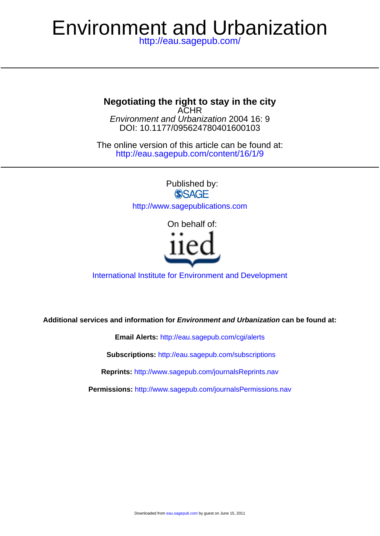# Environment and Urbanization

<http://eau.sagepub.com/>

# **Negotiating the right to stay in the city**

DOI: 10.1177/095624780401600103 Environment and Urbanization 2004 16: 9 ACHR

<http://eau.sagepub.com/content/16/1/9> The online version of this article can be found at:

> Published by:<br>
> SAGE <http://www.sagepublications.com>

> > On behalf of:



# [International Institute for Environment and Development](http://www.iied.org/)

**Additional services and information for Environment and Urbanization can be found at:**

**Email Alerts:** <http://eau.sagepub.com/cgi/alerts>

**Subscriptions:** <http://eau.sagepub.com/subscriptions>

**Reprints:** <http://www.sagepub.com/journalsReprints.nav>

**Permissions:** <http://www.sagepub.com/journalsPermissions.nav>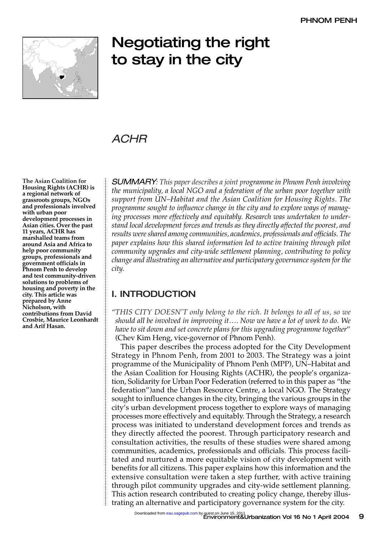

# Negotiating the right to stay in the city

# *ACHR*

**The Asian Coalition for Housing Rights (ACHR) is a regional network of grassroots groups, NGOs and professionals involved with urban poor development processes in Asian cities. Over the past 11 years, ACHR has marshalled teams from around Asia and Africa to help poor community groups, professionals and government officials in Phnom Penh to develop and test community-driven solutions to problems of housing and poverty in the city. This article was prepared by Anne Nicholson, with contributions from David Crosbie, Maurice Leonhardt and Arif Hasan.**

*SUMMARY: This paper describes a joint programme in Phnom Penh involving the municipality, a local NGO and a federation of the urban poor together with support from UN–Habitat and the Asian Coalition for Housing Rights. The programme sought to influence change in the city and to explore ways of managing processes more effectively and equitably. Research was undertaken to understand local development forces and trends as they directly affected the poorest, and results were shared among communities, academics, professionals and officials. The paper explains how this shared information led to active training through pilot community upgrades and city-wide settlement planning, contributing to policy change and illustrating an alternative and participatory governance system for the city.*

# I. INTRODUCTION

"*THIS CITY DOESN'T only belong to the rich. It belongs to all of us, so we should all be involved in improving it…. Now we have a lot of work to do. We have to sit down and set concrete plans for this upgrading programme together*" (Chev Kim Heng, vice-governor of Phnom Penh).

This paper describes the process adopted for the City Development Strategy in Phnom Penh, from 2001 to 2003. The Strategy was a joint programme of the Municipality of Phnom Penh (MPP), UN–Habitat and the Asian Coalition for Housing Rights (ACHR), the people's organization, Solidarity for Urban Poor Federation (referred to in this paper as "the federation")and the Urban Resource Centre, a local NGO. The Strategy sought to influence changes in the city, bringing the various groups in the city's urban development process together to explore ways of managing processes more effectively and equitably. Through the Strategy, a research process was ini[tiated to u](http://eau.sagepub.com/)nderstand development forces and trends as they directly affected the poorest. Through participatory research and consultation activities, the results of these studies were shared among communities, academics, professionals and officials. This process facilitated and nurtured a more equitable vision of city development with benefits for all citizens. This paper explains how this information and the extensive consultation were taken a step further, with active training through pilot community upgrades and city-wide settlement planning. This action research contributed to creating policy change, thereby illustrating an alternative and participatory governance system for the city.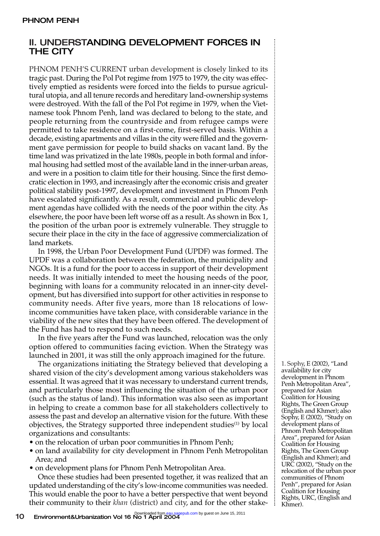#### II. UNDERSTANDING DEVELOPMENT FORCES IN THE CITY

PHNOM PENH'S CURRENT urban development is closely linked to its tragic past. During the Pol Pot regime from 1975 to 1979, the city was effectively emptied as residents were forced into the fields to pursue agricultural utopia, and all tenure records and hereditary land-ownership systems were destroyed. With the fall of the Pol Pot regime in 1979, when the Vietnamese took Phnom Penh, land was declared to belong to the state, and people returning from the countryside and from refugee camps were permitted to take residence on a first-come, first-served basis. Within a decade, existing apartments and villas in the city were filled and the government gave permission for people to build shacks on vacant land. By the time land was privatized in the late 1980s, people in both formal and informal housing had settled most of the available land in the inner-urban areas, and were in a position to claim title for their housing. Since the first democratic election in 1993, and increasingly after the economic crisis and greater political stability post-1997, development and investment in Phnom Penh have escalated significantly. As a result, commercial and public development agendas have collided with the needs of the poor within the city. As elsewhere, the poor have been left worse off as a result. As shown in Box 1, the position of the urban poor is extremely vulnerable. They struggle to secure their place in the city in the face of aggressive commercialization of land markets.

In 1998, the Urban Poor Development Fund (UPDF) was formed. The UPDF was a collaboration between the federation, the municipality and NGOs. It is a fund for the poor to access in support of their development needs. It was initially intended to meet the housing needs of the poor, beginning with loans for a community relocated in an inner-city development, but has diversified into support for other activities in response to community needs. After five years, more than 18 relocations of lowincome communities have taken place, with considerable variance in the viability of the new sites that they have been offered. The development of the Fund has had to respond to such needs.

In the five years after the Fund was launched, relocation was the only option offered to communities facing eviction. When the Strategy was launched in 2001, it was still the only approach imagined for the future.

The organizations initiating the Strategy believed that developing a shared vision of the city's development among various stakeholders was essential. It was agreed that it was necessary to understand current trends, and particularly those most influencing the situation of the urban poor (such as the status of land). This information was also seen as important in helping to create a common base for all stakeholders collectively to assess the past and develop an alternative vision for the future. With these objectives, the Strategy supported three [independe](http://eau.sagepub.com/)nt studies<sup>(1)</sup> by local organizations and consultants:

• on the relocation of urban poor communities in Phnom Penh;

- on land availability for city development in Phnom Penh Metropolitan Area; and
- on development plans for Phnom Penh Metropolitan Area.

Once these studies had been presented together, it was realized that an updated understanding of the city's low-income communities was needed. This would enable the poor to have a better perspective that went beyond their community to their *khan* (district) and city, and for the other stake1. Sophy, E (2002), "Land availability for city development in Phnom Penh Metropolitan Area", prepared for Asian Coalition for Housing Rights, The Green Group (English and Khmer); also Sophy, E (2002), "Study on development plans of Phnom Penh Metropolitan Area", prepared for Asian Coalition for Housing Rights, The Green Group (English and Khmer); and URC (2002), "Study on the relocation of the urban poor communities of Phnom Penh", prepared for Asian Coalition for Housing Rights, URC, (English and Khmer).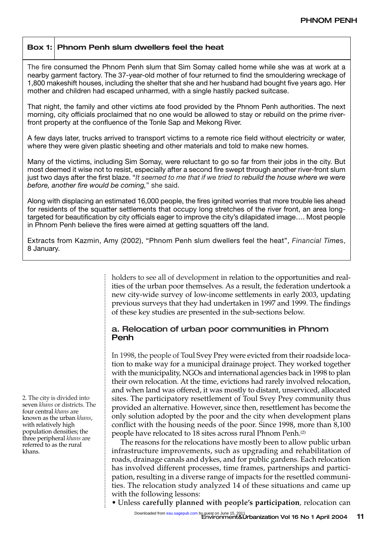#### **Box 1: Phnom Penh slum dwellers feel the heat**

The fire consumed the Phnom Penh slum that Sim Somay called home while she was at work at a nearby garment factory. The 37-year-old mother of four returned to find the smouldering wreckage of 1,800 makeshift houses, including the shelter that she and her husband had bought five years ago. Her mother and children had escaped unharmed, with a single hastily packed suitcase.

That night, the family and other victims ate food provided by the Phnom Penh authorities. The next morning, city officials proclaimed that no one would be allowed to stay or rebuild on the prime riverfront property at the confluence of the Tonle Sap and Mekong River.

A few days later, trucks arrived to transport victims to a remote rice field without electricity or water, where they were given plastic sheeting and other materials and told to make new homes.

Many of the victims, including Sim Somay, were reluctant to go so far from their jobs in the city. But most deemed it wise not to resist, especially after a second fire swept through another river-front slum just two days after the first blaze. "*It seemed to me that if we tried to rebuild the house where we were before, another fire would be coming,*" she said.

Along with displacing an estimated 16,000 people, the fires ignited worries that more trouble lies ahead for residents of the squatter settlements that occupy long stretches of the river front, an area longtargeted for beautification by city officials eager to improve the city's dilapidated image…. Most people in Phnom Penh believe the fires were aimed at getting squatters off the land.

Extracts from Kazmin, Amy (2002), "Phnom Penh slum dwellers feel the heat", *Financial Time*s, 8 January.

> holders to see all of development in relation to the opportunities and realities of the urban poor themselves. As a result, the federation undertook a new city-wide survey of low-income settlements in early 2003, updating previous surveys that they had undertaken in 1997 and 1999. The findings of these key studies are presented in the sub-sections below.

#### a. Relocation of urban poor communities in Phnom Penh

In 1998, the people of Toul Svey Prey were evicted from their roadside location to make way for a municipal drainage project. They worked together with the municipality, NGOs and international agencies back in 1998 to plan their own relocation. At the time, evictions had rarely involved relocation, and when land was offered, it was mostly to distant, unserviced, allocated sites. The participatory resettlement of Toul Svey Prey community thus provided an alternative. However, since then, resettlement has become the only solution adopted by the poor and the city when development plans conflict with th[e housing n](http://eau.sagepub.com/)eeds of the poor. Since 1998, more than 8,100 people have relocated to 18 sites across rural Phnom Penh.<sup>(2)</sup>

The reasons for the relocations have mostly been to allow public urban infrastructure improvements, such as upgrading and rehabilitation of roads, drainage canals and dykes, and for public gardens. Each relocation has involved different processes, time frames, partnerships and participation, resulting in a diverse range of impacts for the resettled communities. The relocation study analyzed 14 of these situations and came up with the following lessons:

• Unless **carefully planned with people's participation**, relocation can

2. The city is divided into seven *khans* or districts. The four central *khans* are known as the urban *khans*, with relatively high population densities; the three peripheral *khans* are referred to as the rural khans.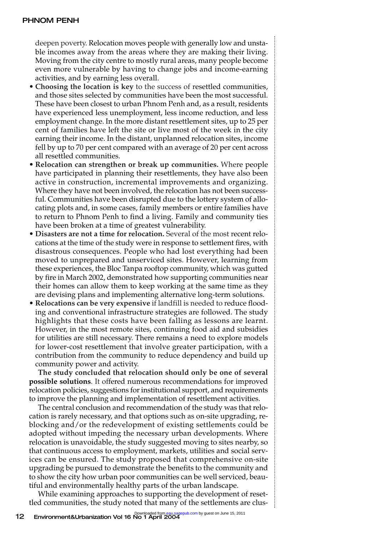deepen poverty. Relocation moves people with generally low and unstable incomes away from the areas where they are making their living. Moving from the city centre to mostly rural areas, many people become even more vulnerable by having to change jobs and income-earning activities, and by earning less overall.

- **Choosing the location is key** to the success of resettled communities, and those sites selected by communities have been the most successful. These have been closest to urban Phnom Penh and, as a result, residents have experienced less unemployment, less income reduction, and less employment change. In the more distant resettlement sites, up to 25 per cent of families have left the site or live most of the week in the city earning their income. In the distant, unplanned relocation sites, income fell by up to 70 per cent compared with an average of 20 per cent across all resettled communities.
- **Relocation can strengthen or break up communities.** Where people have participated in planning their resettlements, they have also been active in construction, incremental improvements and organizing. Where they have not been involved, the relocation has not been successful. Communities have been disrupted due to the lottery system of allocating plots and, in some cases, family members or entire families have to return to Phnom Penh to find a living. Family and community ties have been broken at a time of greatest vulnerability.
- **Disasters are not a time for relocation.** Several of the most recent relocations at the time of the study were in response to settlement fires, with disastrous consequences. People who had lost everything had been moved to unprepared and unserviced sites. However, learning from these experiences, the Bloc Tanpa rooftop community, which was gutted by fire in March 2002, demonstrated how supporting communities near their homes can allow them to keep working at the same time as they are devising plans and implementing alternative long-term solutions.
- **Relocations can be very expensive** if landfill is needed to reduce flooding and conventional infrastructure strategies are followed. The study highlights that these costs have been falling as lessons are learnt. However, in the most remote sites, continuing food aid and subsidies for utilities are still necessary. There remains a need to explore models for lower-cost resettlement that involve greater participation, with a contribution from the community to reduce dependency and build up community power and activity.

**The study concluded that relocation should only be one of several possible solutions**. It offered numerous recommendations for improved relocation policies, suggestions for institutional support, and requirements to improve the planning and implementation of resettlement activities.

The central conclusion and recommendation of the study was that relocation is rarely necessary, and that options such as on-site upgrading, reblocking and/or the redevelopment of [existing s](http://eau.sagepub.com/)ettlements could be adopted without impeding the necessary urban developments. Where relocation is unavoidable, the study suggested moving to sites nearby, so that continuous access to employment, markets, utilities and social services can be ensured. The study proposed that comprehensive on-site upgrading be pursued to demonstrate the benefits to the community and to show the city how urban poor communities can be well serviced, beautiful and environmentally healthy parts of the urban landscape.

While examining approaches to supporting the development of resettled communities, the study noted that many of the settlements are clus-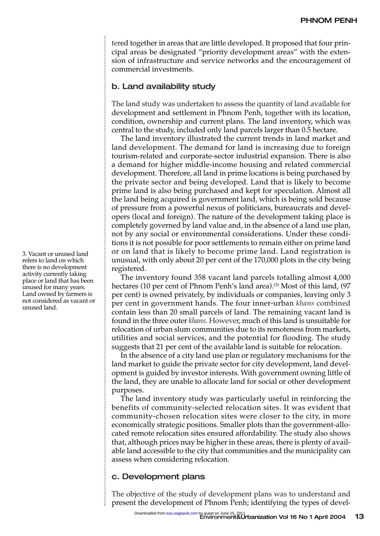tered together in areas that are little developed. It proposed that four principal areas be designated "priority development areas" with the extension of infrastructure and service networks and the encouragement of commercial investments.

#### b. Land availability study

The land study was undertaken to assess the quantity of land available for development and settlement in Phnom Penh, together with its location, condition, ownership and current plans. The land inventory, which was central to the study, included only land parcels larger than 0.5 hectare.

The land inventory illustrated the current trends in land market and land development. The demand for land is increasing due to foreign tourism-related and corporate-sector industrial expansion. There is also a demand for higher middle-income housing and related commercial development. Therefore, all land in prime locations is being purchased by the private sector and being developed. Land that is likely to become prime land is also being purchased and kept for speculation. Almost all the land being acquired is government land, which is being sold because of pressure from a powerful nexus of politicians, bureaucrats and developers (local and foreign). The nature of the development taking place is completely governed by land value and, in the absence of a land use plan, not by any social or environmental considerations. Under these conditions it is not possible for poor settlements to remain either on prime land or on land that is likely to become prime land. Land registration is unusual, with only about 20 per cent of the 170,000 plots in the city being registered.

The inventory found 358 vacant land parcels totalling almost 4,000 hectares (10 per cent of Phnom Penh's land area).<sup>(3)</sup> Most of this land, (97 per cent) is owned privately, by individuals or companies, leaving only 3 per cent in government hands. The four inner-urban *khans* combined contain less than 20 small parcels of land. The remaining vacant land is found in the three outer *khans*. However, much of this land is unsuitable for relocation of urban slum communities due to its remoteness from markets, utilities and social services, and the potential for flooding. The study suggests that 21 per cent of the available land is suitable for relocation.

In the absence of a city land use plan or regulatory mechanisms for the land market to guide the private sector for city development, land development is guided by investor interests. With government owning little of the land, they are unable to allocate land for social or other development purposes.

The land inventory study was particularly useful in reinforcing the benefits of community-selected relocation sites. It was evident that community-chosen relocation sites were closer to the city, in more economically st[rategic posi](http://eau.sagepub.com/)tions. Smaller plots than the government-allocated remote relocation sites ensured affordability. The study also shows that, although prices may be higher in these areas, there is plenty of available land accessible to the city that communities and the municipality can assess when considering relocation.

#### c. Development plans

The objective of the study of development plans was to understand and present the development of Phnom Penh; identifying the types of devel-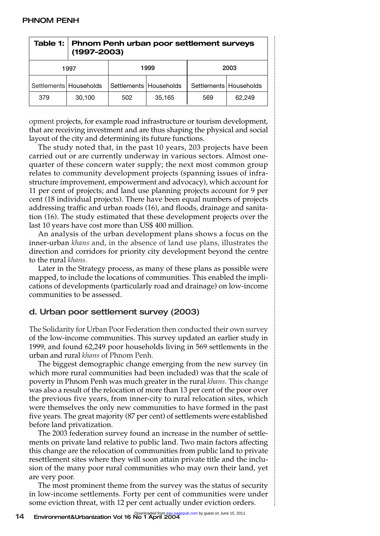|      | Table 1:   Phnom Penh urban poor settlement surveys<br>$(1997 - 2003)$ |                            |        |                          |        |  |
|------|------------------------------------------------------------------------|----------------------------|--------|--------------------------|--------|--|
| 1997 |                                                                        | 1999                       |        | 2003                     |        |  |
|      | Settlements Households                                                 | l Settlements   Households |        | Settlements   Households |        |  |
| 379  | 30,100                                                                 | 502                        | 35,165 | 569                      | 62.249 |  |

opment projects, for example road infrastructure or tourism development, that are receiving investment and are thus shaping the physical and social layout of the city and determining its future functions.

The study noted that, in the past 10 years, 203 projects have been carried out or are currently underway in various sectors. Almost onequarter of these concern water supply; the next most common group relates to community development projects (spanning issues of infrastructure improvement, empowerment and advocacy), which account for 11 per cent of projects; and land use planning projects account for 9 per cent (18 individual projects). There have been equal numbers of projects addressing traffic and urban roads (16), and floods, drainage and sanitation (16). The study estimated that these development projects over the last 10 years have cost more than US\$ 400 million.

An analysis of the urban development plans shows a focus on the inner-urban *khans* and, in the absence of land use plans, illustrates the direction and corridors for priority city development beyond the centre to the rural *khans*.

Later in the Strategy process, as many of these plans as possible were mapped, to include the locations of communities. This enabled the implications of developments (particularly road and drainage) on low-income communities to be assessed.

#### d. Urban poor settlement survey (2003)

The Solidarity for Urban Poor Federation then conducted their own survey of the low-income communities. This survey updated an earlier study in 1999, and found 62,249 poor households living in 569 settlements in the urban and rural *khans* of Phnom Penh.

The biggest demographic change emerging from the new survey (in which more rural communities had been included) was that the scale of poverty in Phnom Penh was much greater in the rural *khans*. This change was also a result of the relocation of more than 13 per cent of the poor over the previous five years, from inner-city to rural relocation sites, which were themselves the only new communities to have formed in the past five years. The great majority (87 per cent) of settlements were established before land privatization.

The 2003 federation survey found an increase in the number of settlements on private land relative to public land. Two main factors affecting this change are the relocation of communities from public land to private resettlement sites where they will soon attain private title and the inclusion of the many poor rural communities who may own their land, yet are very poor.

The most prominent theme from the survey was the status of security in low-income settlements. Forty per cent of communities were under some eviction threat, with 12 per cent actually under eviction orders.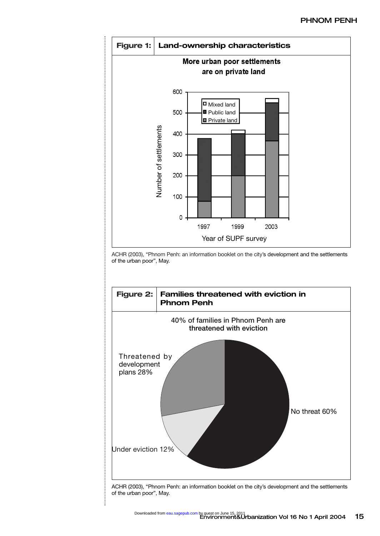

ACHR (2003), "Phnom Penh: an information booklet on the city's development and the settlements of the urban poor", May.



of the urban poor", May.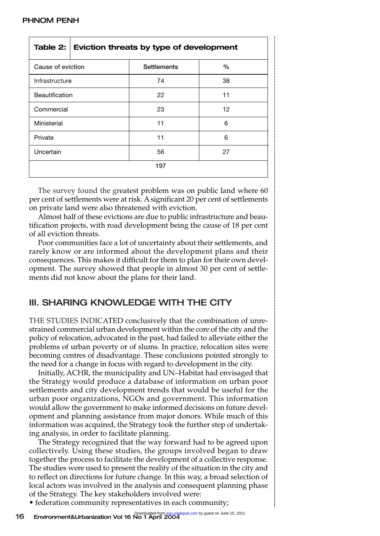| Table 2: Eviction threats by type of development |                    |      |  |  |  |  |
|--------------------------------------------------|--------------------|------|--|--|--|--|
| Cause of eviction                                | <b>Settlements</b> | $\%$ |  |  |  |  |
| Infrastructure                                   | 74                 | 38   |  |  |  |  |
| <b>Beautification</b>                            | 22                 | 11   |  |  |  |  |
| Commercial                                       | 23                 | 12   |  |  |  |  |
| Ministerial                                      | 11                 | 6    |  |  |  |  |
| Private                                          | 11                 | 6    |  |  |  |  |
| Uncertain                                        | 56                 | 27   |  |  |  |  |
| 197                                              |                    |      |  |  |  |  |

The survey found the greatest problem was on public land where 60 per cent of settlements were at risk. A significant 20 per cent of settlements on private land were also threatened with eviction.

Almost half of these evictions are due to public infrastructure and beautification projects, with road development being the cause of 18 per cent of all eviction threats.

Poor communities face a lot of uncertainty about their settlements, and rarely know or are informed about the development plans and their consequences. This makes it difficult for them to plan for their own development. The survey showed that people in almost 30 per cent of settlements did not know about the plans for their land.

#### III. SHARING KNOWLEDGE WITH THE CITY

THE STUDIES INDICATED conclusively that the combination of unrestrained commercial urban development within the core of the city and the policy of relocation, advocated in the past, had failed to alleviate either the problems of urban poverty or of slums. In practice, relocation sites were becoming centres of disadvantage. These conclusions pointed strongly to the need for a change in focus with regard to development in the city.

Initially, ACHR, the municipality and UN–Habitat had envisaged that the Strategy would produce a database of information on urban poor settlements and city development trends that would be useful for the urban poor organizations, NGOs and government. This information would allow the government to make informed decisions on future development and planning assistance from major donors. While much of this information was acquired, the Strategy to[ok the furt](http://eau.sagepub.com/)her step of undertaking analysis, in order to facilitate planning.

The Strategy recognized that the way forward had to be agreed upon collectively. Using these studies, the groups involved began to draw together the process to facilitate the development of a collective response. The studies were used to present the reality of the situation in the city and to reflect on directions for future change. In this way, a broad selection of local actors was involved in the analysis and consequent planning phase of the Strategy. The key stakeholders involved were:

• federation community representatives in each community;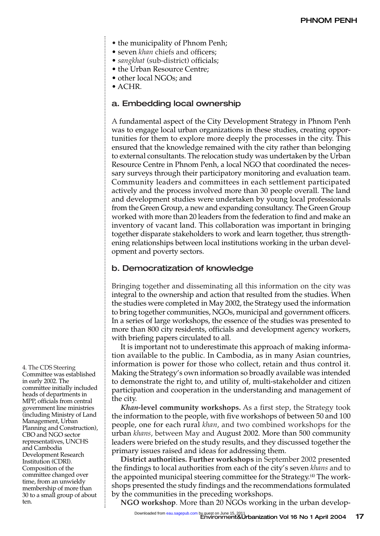- the municipality of Phnom Penh;
- seven *khan* chiefs and officers;
- *sangkhat* (sub-district) officials;
- the Urban Resource Centre;
- other local NGOs; and
- ACHR.

#### a. Embedding local ownership

A fundamental aspect of the City Development Strategy in Phnom Penh was to engage local urban organizations in these studies, creating opportunities for them to explore more deeply the processes in the city. This ensured that the knowledge remained with the city rather than belonging to external consultants. The relocation study was undertaken by the Urban Resource Centre in Phnom Penh, a local NGO that coordinated the necessary surveys through their participatory monitoring and evaluation team. Community leaders and committees in each settlement participated actively and the process involved more than 30 people overall. The land and development studies were undertaken by young local professionals from the Green Group, a new and expanding consultancy. The Green Group worked with more than 20 leaders from the federation to find and make an inventory of vacant land. This collaboration was important in bringing together disparate stakeholders to work and learn together, thus strengthening relationships between local institutions working in the urban development and poverty sectors.

#### b. Democratization of knowledge

Bringing together and disseminating all this information on the city was integral to the ownership and action that resulted from the studies. When the studies were completed in May 2002, the Strategy used the information to bring together communities, NGOs, municipal and government officers. In a series of large workshops, the essence of the studies was presented to more than 800 city residents, officials and development agency workers, with briefing papers circulated to all.

It is important not to underestimate this approach of making information available to the public. In Cambodia, as in many Asian countries, information is power for those who collect, retain and thus control it. Making the Strategy's own information so broadly available was intended to demonstrate the right to, and utility of, multi-stakeholder and citizen participation and cooperation in the understanding and management of the city.

*Khan***-level community workshops.** As a first step, the Strategy took the information to the people, with five workshops of between 50 and 100 people, one for [each rural](http://eau.sagepub.com/) *khan*, and two combined workshops for the urban *khans*, between May and August 2002. More than 500 community leaders were briefed on the study results, and they discussed together the primary issues raised and ideas for addressing them.

**District authorities. Further workshops** in September 2002 presented the findings to local authorities from each of the city's seven *khans* and to the appointed municipal steering committee for the Strategy.(4) The workshops presented the study findings and the recommendations formulated by the communities in the preceding workshops.

**NGO workshop**. More than 20 NGOs working in the urban develop-

4. The CDS Steering Committee was established in early 2002. The committee initially included heads of departments in MPP, officials from central government line ministries (including Ministry of Land Management, Urban Planning and Construction), CBO and NGO sector representatives, UNCHS and Cambodia Development Research Institution (CDRI). Composition of the committee changed over time, from an unwieldy membership of more than 30 to a small group of about ten.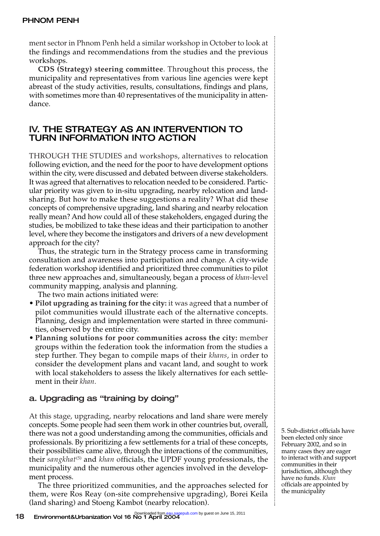ment sector in Phnom Penh held a similar workshop in October to look at the findings and recommendations from the studies and the previous workshops.

**CDS (Strategy) steering committee**. Throughout this process, the municipality and representatives from various line agencies were kept abreast of the study activities, results, consultations, findings and plans, with sometimes more than 40 representatives of the municipality in attendance.

### IV. THE STRATEGY AS AN INTERVENTION TO TURN INFORMATION INTO ACTION

THROUGH THE STUDIES and workshops, alternatives to relocation following eviction, and the need for the poor to have development options within the city, were discussed and debated between diverse stakeholders. It was agreed that alternatives to relocation needed to be considered. Particular priority was given to in-situ upgrading, nearby relocation and landsharing. But how to make these suggestions a reality? What did these concepts of comprehensive upgrading, land sharing and nearby relocation really mean? And how could all of these stakeholders, engaged during the studies, be mobilized to take these ideas and their participation to another level, where they become the instigators and drivers of a new development approach for the city?

Thus, the strategic turn in the Strategy process came in transforming consultation and awareness into participation and change. A city-wide federation workshop identified and prioritized three communities to pilot three new approaches and, simultaneously, began a process of *khan*-level community mapping, analysis and planning.

The two main actions initiated were:

- **Pilot upgrading as training for the city:** it was agreed that a number of pilot communities would illustrate each of the alternative concepts. Planning, design and implementation were started in three communities, observed by the entire city.
- **Planning solutions for poor communities across the city:** member groups within the federation took the information from the studies a step further. They began to compile maps of their *khans*, in order to consider the development plans and vacant land, and sought to work with local stakeholders to assess the likely alternatives for each settlement in their *khan*.

#### a. Upgrading as "training by doing"

At this stage, upgrading, nearby relocations and land share were merely concepts. Some people had seen them wor[k in other c](http://eau.sagepub.com/)ountries but, overall, there was not a good understanding among the communities, officials and professionals. By prioritizing a few settlements for a trial of these concepts, their possibilities came alive, through the interactions of the communities, their *sangkhat*(5) and *khan* officials, the UPDF young professionals, the municipality and the numerous other agencies involved in the development process.

The three prioritized communities, and the approaches selected for them, were Ros Reay (on-site comprehensive upgrading), Borei Keila (land sharing) and Stoeng Kambot (nearby relocation).

5. Sub-district officials have been elected only since February 2002, and so in many cases they are eager to interact with and support communities in their jurisdiction, although they have no funds. *Khan* officials are appointed by the municipality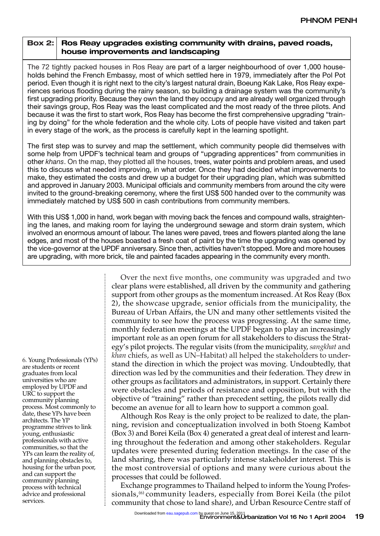#### **Box 2: Ros Reay upgrades existing community with drains, paved roads, house improvements and landscaping**

The 72 tightly packed houses in Ros Reay are part of a larger neighbourhood of over 1,000 households behind the French Embassy, most of which settled here in 1979, immediately after the Pol Pot period. Even though it is right next to the city's largest natural drain, Boeung Kak Lake, Ros Reay experiences serious flooding during the rainy season, so building a drainage system was the community's first upgrading priority. Because they own the land they occupy and are already well organized through their savings group, Ros Reay was the least complicated and the most ready of the three pilots. And because it was the first to start work, Ros Reay has become the first comprehensive upgrading "training by doing" for the whole federation and the whole city. Lots of people have visited and taken part in every stage of the work, as the process is carefully kept in the learning spotlight.

The first step was to survey and map the settlement, which community people did themselves with some help from UPDF's technical team and groups of "upgrading apprentices" from communities in other *khans*. On the map, they plotted all the houses, trees, water points and problem areas, and used this to discuss what needed improving, in what order. Once they had decided what improvements to make, they estimated the costs and drew up a budget for their upgrading plan, which was submitted and approved in January 2003. Municipal officials and community members from around the city were invited to the ground-breaking ceremony, where the first US\$ 500 handed over to the community was immediately matched by US\$ 500 in cash contributions from community members.

With this US\$ 1,000 in hand, work began with moving back the fences and compound walls, straightening the lanes, and making room for laying the underground sewage and storm drain system, which involved an enormous amount of labour. The lanes were paved, trees and flowers planted along the lane edges, and most of the houses boasted a fresh coat of paint by the time the upgrading was opened by the vice-governor at the UPDF anniversary. Since then, activities haven't stopped. More and more houses are upgrading, with more brick, tile and painted facades appearing in the community every month.

6. Young Professionals (YPs) are students or recent graduates from local universities who are employed by UPDF and URC to support the community planning process. Most commonly to date, these YPs have been architects. The YP programme strives to link young, enthusiastic professionals with active communities, so that the YPs can learn the reality of, and planning obstacles to, housing for the urban poor, and can support the community planning process with technical advice and professional services.

Over the next five months, one community was upgraded and two clear plans were established, all driven by the community and gathering support from other groups as the momentum increased. At Ros Reay (Box 2), the showcase upgrade, senior officials from the municipality, the Bureau of Urban Affairs, the UN and many other settlements visited the community to see how the process was progressing. At the same time, monthly federation meetings at the UPDF began to play an increasingly important role as an open forum for all stakeholders to discuss the Strategy's pilot projects. The regular visits (from the municipality, *sangkhat* and *khan* chiefs, as well as UN–Habitat) all helped the stakeholders to understand the direction in which the project was moving. Undoubtedly, that direction was led by the communities and their federation. They drew in other groups as facilitators and administrators, in support. Certainly there were obstacles and periods of resistance and opposition, but with the objective of "training" rather than precedent setting, the pilots really did become an avenue for all to learn how to support a common goal.

Although Ros Reay is the only project to be realized to date, the planning, revision a[nd concep](http://eau.sagepub.com/)tualization involved in both Stoeng Kambot (Box 3) and Borei Keila (Box 4) generated a great deal of interest and learning throughout the federation and among other stakeholders. Regular updates were presented during federation meetings. In the case of the land sharing, there was particularly intense stakeholder interest. This is the most controversial of options and many were curious about the processes that could be followed.

Exchange programmes to Thailand helped to inform the Young Professionals,<sup>(6)</sup> community leaders, especially from Borei Keila (the pilot community that chose to land share), and Urban Resource Centre staff of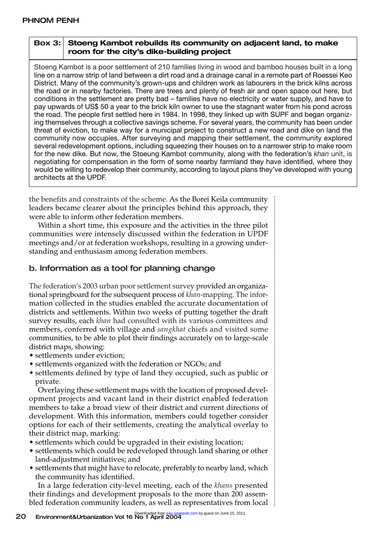#### **Box 3: Stoeng Kambot rebuilds its community on adjacent land, to make room for the city's dike-building project**

Stoeng Kambot is a poor settlement of 210 families living in wood and bamboo houses built in a long line on a narrow strip of land between a dirt road and a drainage canal in a remote part of Roessei Keo District. Many of the community's grown-ups and children work as labourers in the brick kilns across the road or in nearby factories. There are trees and plenty of fresh air and open space out here, but conditions in the settlement are pretty bad – families have no electricity or water supply, and have to pay upwards of US\$ 50 a year to the brick kiln owner to use the stagnant water from his pond across the road. The people first settled here in 1984. In 1998, they linked up with SUPF and began organizing themselves through a collective savings scheme. For several years, the community has been under threat of eviction, to make way for a municipal project to construct a new road and dike on land the community now occupies. After surveying and mapping their settlement, the community explored several redevelopment options, including squeezing their houses on to a narrower strip to make room for the new dike. But now, the Stoeung Kambot community, along with the federation's *khan* unit, is negotiating for compensation in the form of some nearby farmland they have identified, where they would be willing to redevelop their community, according to layout plans they've developed with young architects at the UPDF.

the benefits and constraints of the scheme. As the Borei Keila community leaders became clearer about the principles behind this approach, they were able to inform other federation members.

Within a short time, this exposure and the activities in the three pilot communities were intensely discussed within the federation in UPDF meetings and/or at federation workshops, resulting in a growing understanding and enthusiasm among federation members.

#### b. Information as a tool for planning change

The federation's 2003 urban poor settlement survey provided an organizational springboard for the subsequent process of *khan*-mapping. The information collected in the studies enabled the accurate documentation of districts and settlements. Within two weeks of putting together the draft survey results, each *khan* had consulted with its various committees and members, conferred with village and *sangkhat* chiefs and visited some communities, to be able to plot their findings accurately on to large-scale district maps, showing:

- settlements under eviction;
- settlements organized with the federation or NGOs; and
- settlements defined by type of land they occupied, such as public or private.

Overlaying these settlement maps with the location of proposed development projects and vacant land in their district enabled federation members to take a broad view of their district and current directions of development. With this information, members could together consider options for each of their settlements, cr[eating the a](http://eau.sagepub.com/)nalytical overlay to their district map, marking:

- settlements which could be upgraded in their existing location;
- settlements which could be redeveloped through land sharing or other land-adjustment initiatives; and
- settlements that might have to relocate, preferably to nearby land, which the community has identified.

In a large federation city-level meeting, each of the *khans* presented their findings and development proposals to the more than 200 assembled federation community leaders, as well as representatives from local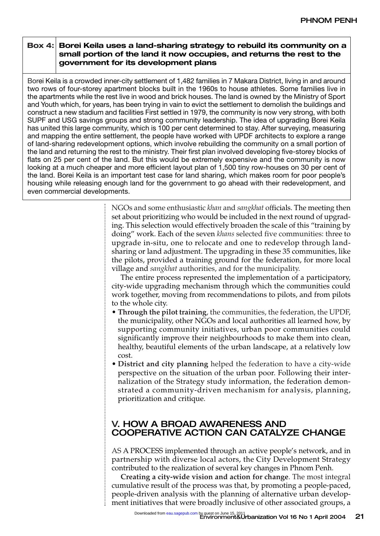#### **Box 4: Borei Keila uses a land-sharing strategy to rebuild its community on a small portion of the land it now occupies, and returns the rest to the government for its development plans**

Borei Keila is a crowded inner-city settlement of 1,482 families in 7 Makara District, living in and around two rows of four-storey apartment blocks built in the 1960s to house athletes. Some families live in the apartments while the rest live in wood and brick houses. The land is owned by the Ministry of Sport and Youth which, for years, has been trying in vain to evict the settlement to demolish the buildings and construct a new stadium and facilities First settled in 1979, the community is now very strong, with both SUPF and USG savings groups and strong community leadership. The idea of upgrading Borei Keila has united this large community, which is 100 per cent determined to stay. After surveying, measuring and mapping the entire settlement, the people have worked with UPDF architects to explore a range of land-sharing redevelopment options, which involve rebuilding the community on a small portion of the land and returning the rest to the ministry. Their first plan involved developing five-storey blocks of flats on 25 per cent of the land. But this would be extremely expensive and the community is now looking at a much cheaper and more efficient layout plan of 1,500 tiny row-houses on 30 per cent of the land. Borei Keila is an important test case for land sharing, which makes room for poor people's housing while releasing enough land for the government to go ahead with their redevelopment, and even commercial developments.

> NGOs and some enthusiastic *khan* and *sangkhat* officials. The meeting then set about prioritizing who would be included in the next round of upgrading. This selection would effectively broaden the scale of this "training by doing" work. Each of the seven *khans* selected five communities: three to upgrade in-situ, one to relocate and one to redevelop through landsharing or land adjustment. The upgrading in these 35 communities, like the pilots, provided a training ground for the federation, for more local village and *sangkhat* authorities, and for the municipality.

> The entire process represented the implementation of a participatory, city-wide upgrading mechanism through which the communities could work together, moving from recommendations to pilots, and from pilots to the whole city.

- **Through the pilot training**, the communities, the federation, the UPDF, the municipality, other NGOs and local authorities all learned how, by supporting community initiatives, urban poor communities could significantly improve their neighbourhoods to make them into clean, healthy, beautiful elements of the urban landscape, at a relatively low cost.
- **District and city planning** helped the federation to have a city-wide perspective on the situation of the urban poor. Following their internalization of the Strategy study information, the federation demonstrated a community-driven mechanism for analysis, planning, prioritization and critique.

## V. HOW A [BROAD](http://eau.sagepub.com/) AWARENESS AND COOPERATIVE ACTION CAN CATALYZE CHANGE

AS A PROCESS implemented through an active people's network, and in partnership with diverse local actors, the City Development Strategy contributed to the realization of several key changes in Phnom Penh.

**Creating a city-wide vision and action for change**. The most integral cumulative result of the process was that, by promoting a people-paced, people-driven analysis with the planning of alternative urban development initiatives that were broadly inclusive of other associated groups, a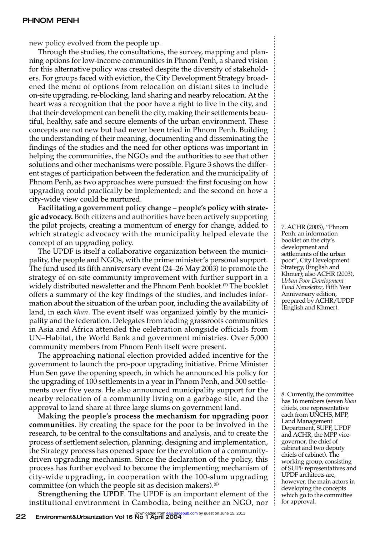new policy evolved from the people up.

Through the studies, the consultations, the survey, mapping and planning options for low-income communities in Phnom Penh, a shared vision for this alternative policy was created despite the diversity of stakeholders. For groups faced with eviction, the City Development Strategy broadened the menu of options from relocation on distant sites to include on-site upgrading, re-blocking, land sharing and nearby relocation. At the heart was a recognition that the poor have a right to live in the city, and that their development can benefit the city, making their settlements beautiful, healthy, safe and secure elements of the urban environment. These concepts are not new but had never been tried in Phnom Penh. Building the understanding of their meaning, documenting and disseminating the findings of the studies and the need for other options was important in helping the communities, the NGOs and the authorities to see that other solutions and other mechanisms were possible. Figure 3 shows the different stages of participation between the federation and the municipality of Phnom Penh, as two approaches were pursued: the first focusing on how upgrading could practically be implemented; and the second on how a city-wide view could be nurtured.

**Facilitating a government policy change – people's policy with strategic advocacy.** Both citizens and authorities have been actively supporting the pilot projects, creating a momentum of energy for change, added to which strategic advocacy with the municipality helped elevate the concept of an upgrading policy.

The UPDF is itself a collaborative organization between the municipality, the people and NGOs, with the prime minister's personal support. The fund used its fifth anniversary event (24–26 May 2003) to promote the strategy of on-site community improvement with further support in a widely distributed newsletter and the Phnom Penh booklet.<sup>(7)</sup> The booklet offers a summary of the key findings of the studies, and includes information about the situation of the urban poor, including the availability of land, in each *khan*. The event itself was organized jointly by the municipality and the federation. Delegates from leading grassroots communities in Asia and Africa attended the celebration alongside officials from UN–Habitat, the World Bank and government ministries. Over 5,000 community members from Phnom Penh itself were present.

The approaching national election provided added incentive for the government to launch the pro-poor upgrading initiative. Prime Minister Hun Sen gave the opening speech, in which he announced his policy for the upgrading of 100 settlements in a year in Phnom Penh, and 500 settlements over five years. He also announced municipality support for the nearby relocation of a community living on a garbage site, and the approval to land share at three large slums on government land.

**Making the people's process the mechanism for upgrading poor communities**. By creating the space for [the poor t](http://eau.sagepub.com/)o be involved in the research, to be central to the consultations and analysis, and to create the process of settlement selection, planning, designing and implementation, the Strategy process has opened space for the evolution of a communitydriven upgrading mechanism. Since the declaration of the policy, this process has further evolved to become the implementing mechanism of city-wide upgrading, in cooperation with the 100-slum upgrading committee (on which the people sit as decision makers).<sup>(8)</sup>

**Strengthening the UPDF**. The UPDF is an important element of the institutional environment in Cambodia, being neither an NGO, nor 7. ACHR (2003), "Phnom Penh: an information booklet on the city's development and settlements of the urban poor", City Development Strategy, (English and Khmer); also ACHR (2003), *Urban Poor Development Fund Newsletter*, Fifth Year Anniversary edition, prepared by ACHR/UPDF (English and Khmer).

8. Currently, the committee has 16 members (seven *khan* chiefs, one representative each from UNCHS, MPP, Land Management Department, SUPF, UPDF and ACHR, the MPP vicegovernor, the chief of cabinet and two deputy chiefs of cabinet). The working group, consisting of SUPF representatives and UPDF architects are, however, the main actors in developing the concepts which go to the committee for approval.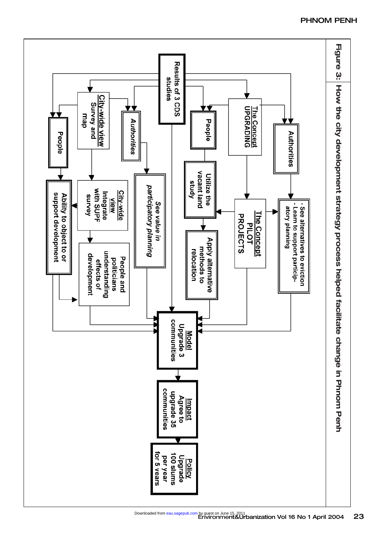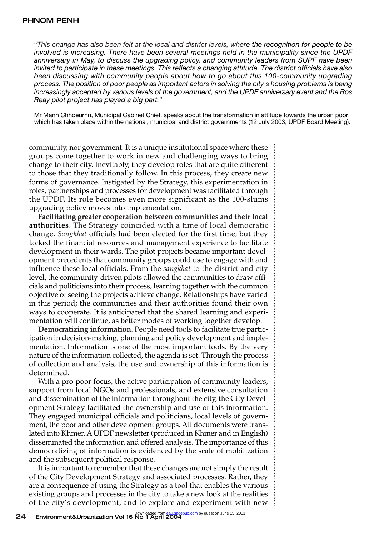"*This change has also been felt at the local and district levels, where the recognition for people to be involved is increasing. There have been several meetings held in the municipality since the UPDF anniversary in May, to discuss the upgrading policy, and community leaders from SUPF have been invited to participate in these meetings. This reflects a changing attitude. The district officials have also been discussing with community people about how to go about this 100-community upgrading process. The position of poor people as important actors in solving the city's housing problems is being increasingly accepted by various levels of the government, and the UPDF anniversary event and the Ros Reay pilot project has played a big part.*"

Mr Mann Chhoeurnn, Municipal Cabinet Chief, speaks about the transformation in attitude towards the urban poor which has taken place within the national, municipal and district governments (12 July 2003, UPDF Board Meeting).

community, nor government. It is a unique institutional space where these groups come together to work in new and challenging ways to bring change to their city. Inevitably, they develop roles that are quite different to those that they traditionally follow. In this process, they create new forms of governance. Instigated by the Strategy, this experimentation in roles, partnerships and processes for development was facilitated through the UPDF. Its role becomes even more significant as the 100-slums upgrading policy moves into implementation.

**Facilitating greater cooperation between communities and their local authorities**. The Strategy coincided with a time of local democratic change. *Sangkhat* officials had been elected for the first time, but they lacked the financial resources and management experience to facilitate development in their wards. The pilot projects became important development precedents that community groups could use to engage with and influence these local officials. From the *sangkhat* to the district and city level, the community-driven pilots allowed the communities to draw officials and politicians into their process, learning together with the common objective of seeing the projects achieve change. Relationships have varied in this period; the communities and their authorities found their own ways to cooperate. It is anticipated that the shared learning and experimentation will continue, as better modes of working together develop.

**Democratizing information**. People need tools to facilitate true participation in decision-making, planning and policy development and implementation. Information is one of the most important tools. By the very nature of the information collected, the agenda is set. Through the process of collection and analysis, the use and ownership of this information is determined.

With a pro-poor focus, the active participation of community leaders, support from local NGOs and professionals, and extensive consultation and dissemination of the information throughout the city, the City Development Strategy facilitated the ownership and use of this information. They engaged municipal officials and politicians, local levels of government, the poor and other development gr[oups. All do](http://eau.sagepub.com/)cuments were translated into Khmer. A UPDF newsletter (produced in Khmer and in English) disseminated the information and offered analysis. The importance of this democratizing of information is evidenced by the scale of mobilization and the subsequent political response.

It is important to remember that these changes are not simply the result of the City Development Strategy and associated processes. Rather, they are a consequence of using the Strategy as a tool that enables the various existing groups and processes in the city to take a new look at the realities of the city's development, and to explore and experiment with new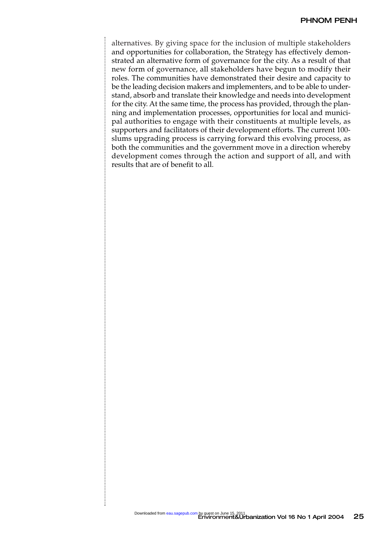alternatives. By giving space for the inclusion of multiple stakeholders and opportunities for collaboration, the Strategy has effectively demonstrated an alternative form of governance for the city. As a result of that new form of governance, all stakeholders have begun to modify their roles. The communities have demonstrated their desire and capacity to be the leading decision makers and implementers, and to be able to understand, absorb and translate their knowledge and needs into development for the city. At the same time, the process has provided, through the planning and implementation processes, opportunities for local and municipal authorities to engage with their constituents at multiple levels, as supporters and facilitators of their development efforts. The current 100 slums upgrading process is carrying forward this evolving process, as both the communities and the government move in a direction whereby development comes through the action and support of all, and with results that are of benefit to all.